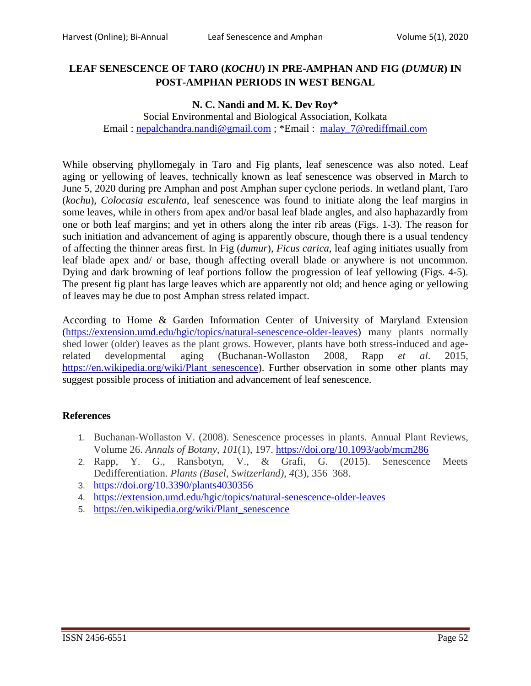## **LEAF SENESCENCE OF TARO (***KOCHU***) IN PRE-AMPHAN AND FIG (***DUMUR***) IN POST-AMPHAN PERIODS IN WEST BENGAL**

## **N. C. Nandi and M. K. Dev Roy\***

Social Environmental and Biological Association, Kolkata Email : [nepalchandra.nandi@gmail.com](mailto:nepalchandra.nandi@gmail.com) ; \*Email : [malay\\_7@rediffmail.co](mailto:malay_7@rediffmail.com)m

While observing phyllomegaly in Taro and Fig plants, leaf senescence was also noted. Leaf aging or yellowing of leaves, technically known as leaf senescence was observed in March to June 5, 2020 during pre Amphan and post Amphan super cyclone periods. In wetland plant, Taro (*kochu*), *Colocasia esculenta*, leaf senescence was found to initiate along the leaf margins in some leaves, while in others from apex and/or basal leaf blade angles, and also haphazardly from one or both leaf margins; and yet in others along the inter rib areas (Figs. 1-3). The reason for such initiation and advancement of aging is apparently obscure, though there is a usual tendency of affecting the thinner areas first. In Fig (*dumur*), *Ficus carica,* leaf aging initiates usually from leaf blade apex and/ or base, though affecting overall blade or anywhere is not uncommon. Dying and dark browning of leaf portions follow the progression of leaf yellowing (Figs. 4-5). The present fig plant has large leaves which are apparently not old; and hence aging or yellowing of leaves may be due to post Amphan stress related impact.

According to Home & Garden Information Center of University of Maryland Extension [\(https://extension.umd.edu/hgic/topics/natural-senescence-older-leaves\)](https://extension.umd.edu/hgic/topics/natural-senescence-older-leaves) many plants normally shed lower (older) leaves as the plant grows. However, plants have both stress-induced and agerelated developmental aging (Buchanan-Wollaston 2008, Rapp *et al*. 2015, [https://en.wikipedia.org/wiki/Plant\\_senescence\)](https://en.wikipedia.org/wiki/Plant_senescence). Further observation in some other plants may suggest possible process of initiation and advancement of leaf senescence.

## **References**

- 1. Buchanan-Wollaston V. (2008). Senescence processes in plants. Annual Plant Reviews, Volume 26. *Annals of Botany*, *101*(1), 197.<https://doi.org/10.1093/aob/mcm286>
- 2. Rapp, Y. G., Ransbotyn, V., & Grafi, G. (2015). Senescence Meets Dedifferentiation. *Plants (Basel, Switzerland)*, *4*(3), 356–368.
- 3. <https://doi.org/10.3390/plants4030356>
- 4. <https://extension.umd.edu/hgic/topics/natural-senescence-older-leaves>
- 5. [https://en.wikipedia.org/wiki/Plant\\_senescence](https://en.wikipedia.org/wiki/Plant_senescence)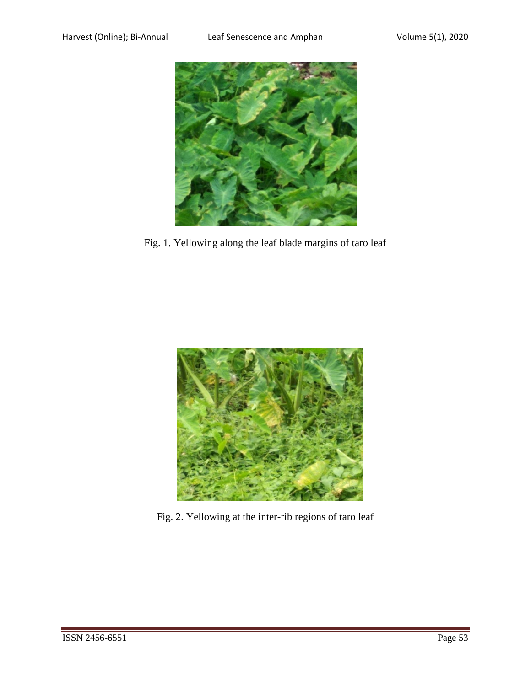

Fig. 1. Yellowing along the leaf blade margins of taro leaf



Fig. 2. Yellowing at the inter-rib regions of taro leaf